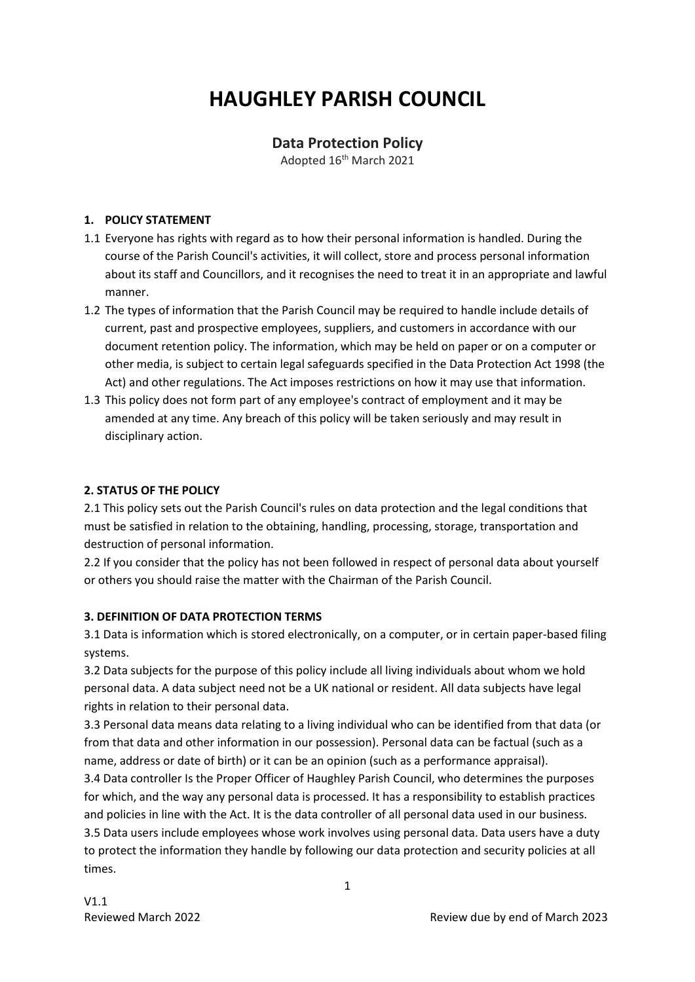# **HAUGHLEY PARISH COUNCIL**

# **Data Protection Policy**

Adopted 16th March 2021

## **1. POLICY STATEMENT**

- 1.1 Everyone has rights with regard as to how their personal information is handled. During the course of the Parish Council's activities, it will collect, store and process personal information about its staff and Councillors, and it recognises the need to treat it in an appropriate and lawful manner.
- 1.2 The types of information that the Parish Council may be required to handle include details of current, past and prospective employees, suppliers, and customers in accordance with our document retention policy. The information, which may be held on paper or on a computer or other media, is subject to certain legal safeguards specified in the Data Protection Act 1998 (the Act) and other regulations. The Act imposes restrictions on how it may use that information.
- 1.3 This policy does not form part of any employee's contract of employment and it may be amended at any time. Any breach of this policy will be taken seriously and may result in disciplinary action.

## **2. STATUS OF THE POLICY**

2.1 This policy sets out the Parish Council's rules on data protection and the legal conditions that must be satisfied in relation to the obtaining, handling, processing, storage, transportation and destruction of personal information.

2.2 If you consider that the policy has not been followed in respect of personal data about yourself or others you should raise the matter with the Chairman of the Parish Council.

## **3. DEFINITION OF DATA PROTECTION TERMS**

3.1 Data is information which is stored electronically, on a computer, or in certain paper-based filing systems.

3.2 Data subjects for the purpose of this policy include all living individuals about whom we hold personal data. A data subject need not be a UK national or resident. All data subjects have legal rights in relation to their personal data.

3.3 Personal data means data relating to a living individual who can be identified from that data (or from that data and other information in our possession). Personal data can be factual (such as a name, address or date of birth) or it can be an opinion (such as a performance appraisal).

3.4 Data controller Is the Proper Officer of Haughley Parish Council, who determines the purposes for which, and the way any personal data is processed. It has a responsibility to establish practices and policies in line with the Act. It is the data controller of all personal data used in our business.

3.5 Data users include employees whose work involves using personal data. Data users have a duty to protect the information they handle by following our data protection and security policies at all times.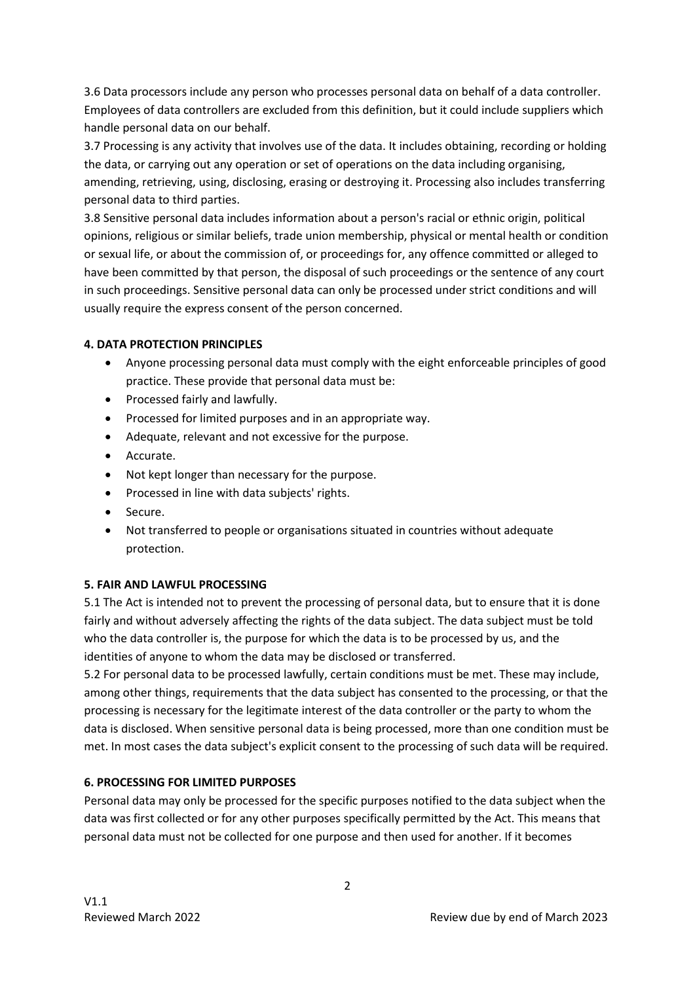3.6 Data processors include any person who processes personal data on behalf of a data controller. Employees of data controllers are excluded from this definition, but it could include suppliers which handle personal data on our behalf.

3.7 Processing is any activity that involves use of the data. It includes obtaining, recording or holding the data, or carrying out any operation or set of operations on the data including organising, amending, retrieving, using, disclosing, erasing or destroying it. Processing also includes transferring personal data to third parties.

3.8 Sensitive personal data includes information about a person's racial or ethnic origin, political opinions, religious or similar beliefs, trade union membership, physical or mental health or condition or sexual life, or about the commission of, or proceedings for, any offence committed or alleged to have been committed by that person, the disposal of such proceedings or the sentence of any court in such proceedings. Sensitive personal data can only be processed under strict conditions and will usually require the express consent of the person concerned.

#### **4. DATA PROTECTION PRINCIPLES**

- Anyone processing personal data must comply with the eight enforceable principles of good practice. These provide that personal data must be:
- Processed fairly and lawfully.
- Processed for limited purposes and in an appropriate way.
- Adequate, relevant and not excessive for the purpose.
- Accurate.
- Not kept longer than necessary for the purpose.
- Processed in line with data subjects' rights.
- Secure.
- Not transferred to people or organisations situated in countries without adequate protection.

#### **5. FAIR AND LAWFUL PROCESSING**

5.1 The Act is intended not to prevent the processing of personal data, but to ensure that it is done fairly and without adversely affecting the rights of the data subject. The data subject must be told who the data controller is, the purpose for which the data is to be processed by us, and the identities of anyone to whom the data may be disclosed or transferred.

5.2 For personal data to be processed lawfully, certain conditions must be met. These may include, among other things, requirements that the data subject has consented to the processing, or that the processing is necessary for the legitimate interest of the data controller or the party to whom the data is disclosed. When sensitive personal data is being processed, more than one condition must be met. In most cases the data subject's explicit consent to the processing of such data will be required.

## **6. PROCESSING FOR LIMITED PURPOSES**

Personal data may only be processed for the specific purposes notified to the data subject when the data was first collected or for any other purposes specifically permitted by the Act. This means that personal data must not be collected for one purpose and then used for another. If it becomes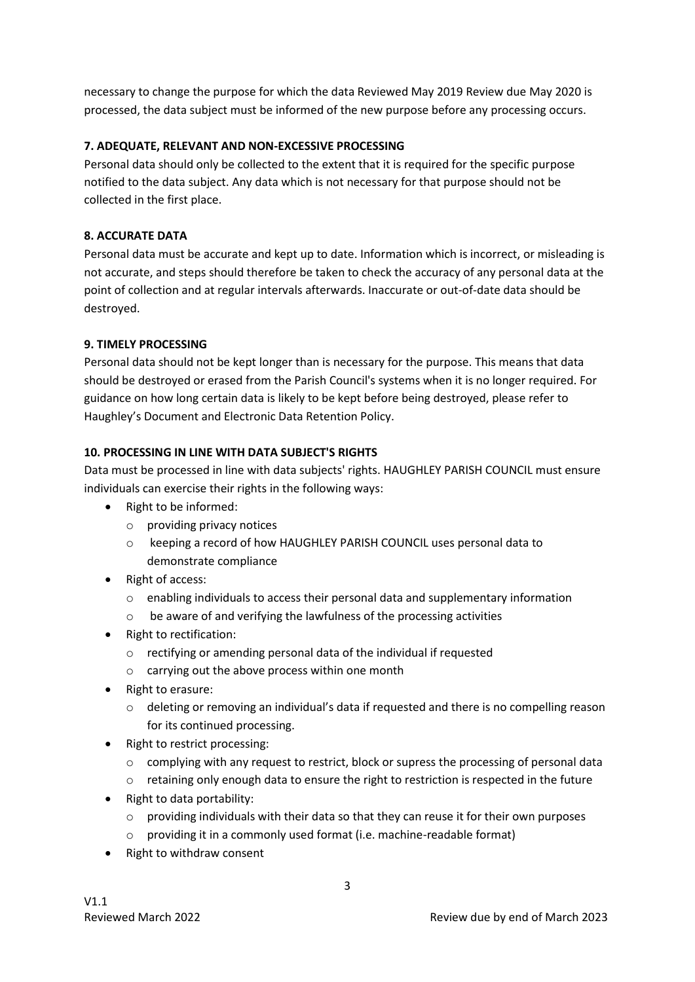necessary to change the purpose for which the data Reviewed May 2019 Review due May 2020 is processed, the data subject must be informed of the new purpose before any processing occurs.

#### **7. ADEQUATE, RELEVANT AND NON-EXCESSIVE PROCESSING**

Personal data should only be collected to the extent that it is required for the specific purpose notified to the data subject. Any data which is not necessary for that purpose should not be collected in the first place.

#### **8. ACCURATE DATA**

Personal data must be accurate and kept up to date. Information which is incorrect, or misleading is not accurate, and steps should therefore be taken to check the accuracy of any personal data at the point of collection and at regular intervals afterwards. Inaccurate or out-of-date data should be destroyed.

#### **9. TIMELY PROCESSING**

Personal data should not be kept longer than is necessary for the purpose. This means that data should be destroyed or erased from the Parish Council's systems when it is no longer required. For guidance on how long certain data is likely to be kept before being destroyed, please refer to Haughley's Document and Electronic Data Retention Policy.

#### **10. PROCESSING IN LINE WITH DATA SUBJECT'S RIGHTS**

Data must be processed in line with data subjects' rights. HAUGHLEY PARISH COUNCIL must ensure individuals can exercise their rights in the following ways:

- Right to be informed:
	- o providing privacy notices
	- o keeping a record of how HAUGHLEY PARISH COUNCIL uses personal data to demonstrate compliance
- Right of access:
	- $\circ$  enabling individuals to access their personal data and supplementary information
	- o be aware of and verifying the lawfulness of the processing activities
- Right to rectification:
	- o rectifying or amending personal data of the individual if requested
	- o carrying out the above process within one month
- Right to erasure:
	- o deleting or removing an individual's data if requested and there is no compelling reason for its continued processing.
- Right to restrict processing:
	- o complying with any request to restrict, block or supress the processing of personal data
	- o retaining only enough data to ensure the right to restriction is respected in the future
- Right to data portability:
	- $\circ$  providing individuals with their data so that they can reuse it for their own purposes
	- o providing it in a commonly used format (i.e. machine-readable format)
- Right to withdraw consent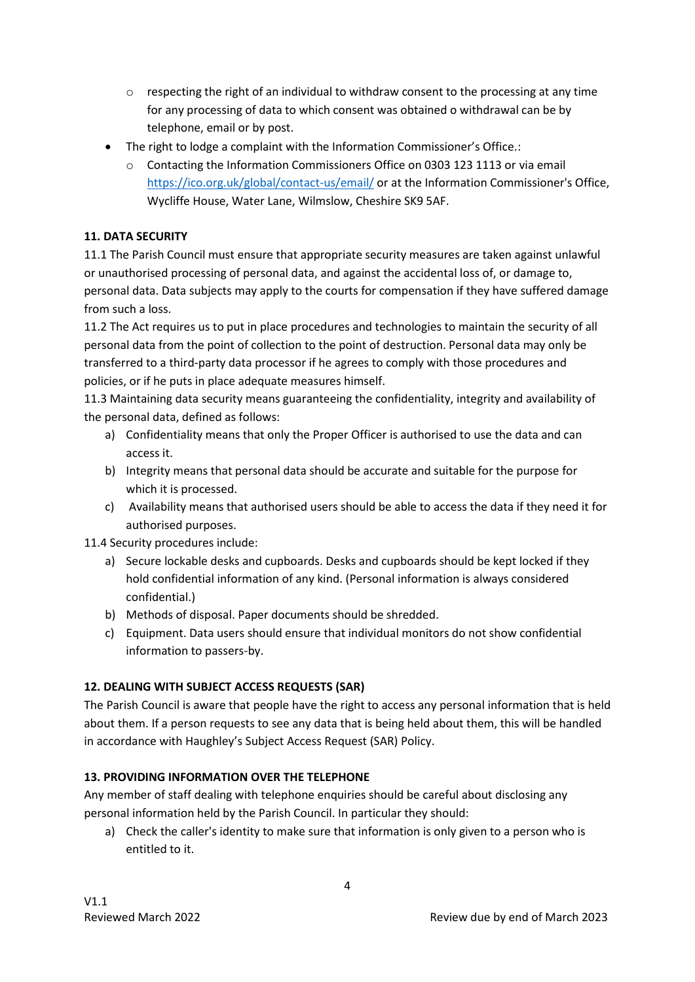- $\circ$  respecting the right of an individual to withdraw consent to the processing at any time for any processing of data to which consent was obtained o withdrawal can be by telephone, email or by post.
- The right to lodge a complaint with the Information Commissioner's Office.:
	- o Contacting the Information Commissioners Office on 0303 123 1113 or via email <https://ico.org.uk/global/contact-us/email/> or at the Information Commissioner's Office, Wycliffe House, Water Lane, Wilmslow, Cheshire SK9 5AF.

#### **11. DATA SECURITY**

11.1 The Parish Council must ensure that appropriate security measures are taken against unlawful or unauthorised processing of personal data, and against the accidental loss of, or damage to, personal data. Data subjects may apply to the courts for compensation if they have suffered damage from such a loss.

11.2 The Act requires us to put in place procedures and technologies to maintain the security of all personal data from the point of collection to the point of destruction. Personal data may only be transferred to a third-party data processor if he agrees to comply with those procedures and policies, or if he puts in place adequate measures himself.

11.3 Maintaining data security means guaranteeing the confidentiality, integrity and availability of the personal data, defined as follows:

- a) Confidentiality means that only the Proper Officer is authorised to use the data and can access it.
- b) Integrity means that personal data should be accurate and suitable for the purpose for which it is processed.
- c) Availability means that authorised users should be able to access the data if they need it for authorised purposes.

11.4 Security procedures include:

- a) Secure lockable desks and cupboards. Desks and cupboards should be kept locked if they hold confidential information of any kind. (Personal information is always considered confidential.)
- b) Methods of disposal. Paper documents should be shredded.
- c) Equipment. Data users should ensure that individual monitors do not show confidential information to passers-by.

## **12. DEALING WITH SUBJECT ACCESS REQUESTS (SAR)**

The Parish Council is aware that people have the right to access any personal information that is held about them. If a person requests to see any data that is being held about them, this will be handled in accordance with Haughley's Subject Access Request (SAR) Policy.

## **13. PROVIDING INFORMATION OVER THE TELEPHONE**

Any member of staff dealing with telephone enquiries should be careful about disclosing any personal information held by the Parish Council. In particular they should:

a) Check the caller's identity to make sure that information is only given to a person who is entitled to it.